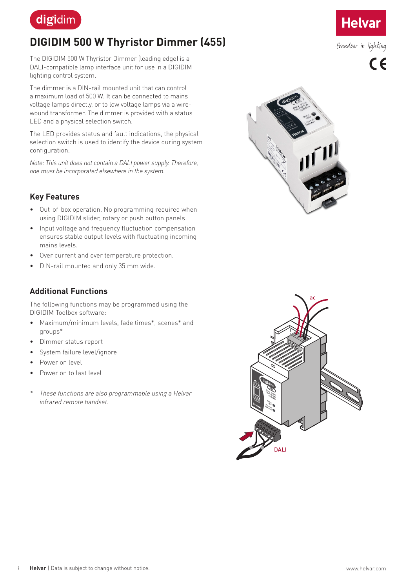

# **DIGIDIM 500 W Thyristor Dimmer (455)**

The DIGIDIM 500 W Thyristor Dimmer (leading edge) is a DALI-compatible lamp interface unit for use in a DIGIDIM lighting control system.

The dimmer is a DIN-rail mounted unit that can control a maximum load of 500 W. It can be connected to mains voltage lamps directly, or to low voltage lamps via a wirewound transformer. The dimmer is provided with a status LED and a physical selection switch.

The LED provides status and fault indications, the physical selection switch is used to identify the device during system configuration.

*Note: This unit does not contain a DALI power supply. Therefore, one must be incorporated elsewhere in the system.*

# **Key Features**

- Out-of-box operation. No programming required when using DIGIDIM slider, rotary or push button panels.
- Input voltage and frequency fluctuation compensation ensures stable output levels with fluctuating incoming mains levels.
- Over current and over temperature protection.
- DIN-rail mounted and only 35 mm wide.

#### **Additional Functions**

The following functions may be programmed using the DIGIDIM Toolbox software:

- Maximum/minimum levels, fade times\*, scenes\* and groups\*
- Dimmer status report
- System failure level/ignore
- Power on level
- Power on to last level
- *\* These functions are also programmable using a Helvar infrared remote handset.*





**Helvar** 

freedom in lighting